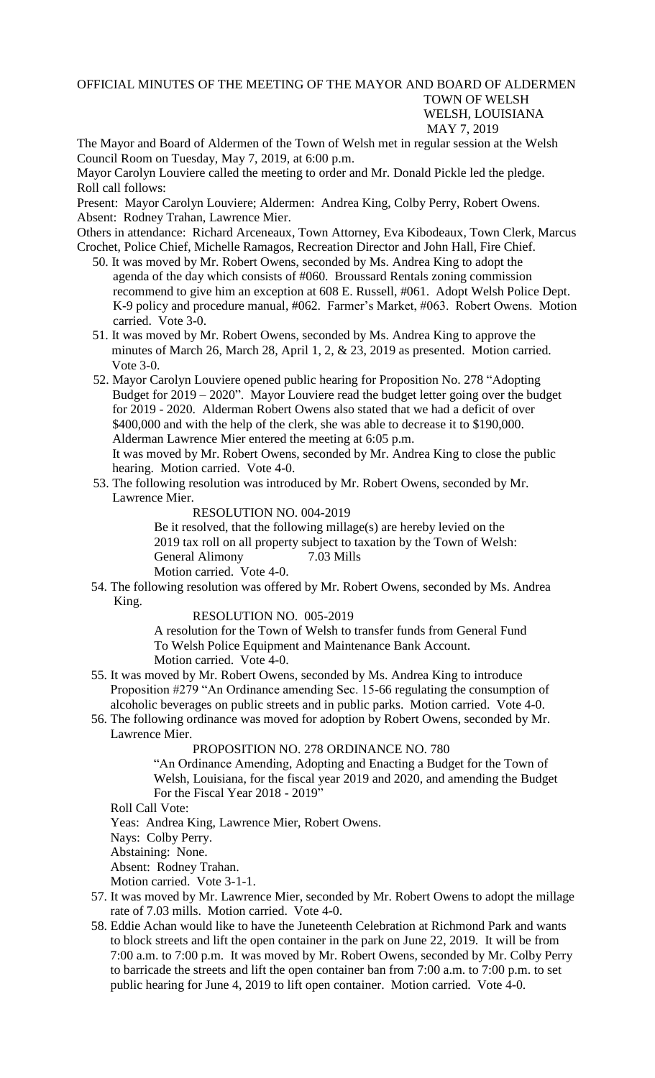## OFFICIAL MINUTES OF THE MEETING OF THE MAYOR AND BOARD OF ALDERMEN TOWN OF WELSH WELSH, LOUISIANA MAY 7, 2019

The Mayor and Board of Aldermen of the Town of Welsh met in regular session at the Welsh Council Room on Tuesday, May 7, 2019, at 6:00 p.m.

Mayor Carolyn Louviere called the meeting to order and Mr. Donald Pickle led the pledge. Roll call follows:

Present: Mayor Carolyn Louviere; Aldermen: Andrea King, Colby Perry, Robert Owens. Absent: Rodney Trahan, Lawrence Mier.

Others in attendance: Richard Arceneaux, Town Attorney, Eva Kibodeaux, Town Clerk, Marcus Crochet, Police Chief, Michelle Ramagos, Recreation Director and John Hall, Fire Chief.

- 50. It was moved by Mr. Robert Owens, seconded by Ms. Andrea King to adopt the agenda of the day which consists of #060. Broussard Rentals zoning commission recommend to give him an exception at 608 E. Russell, #061. Adopt Welsh Police Dept. K-9 policy and procedure manual, #062. Farmer's Market, #063. Robert Owens. Motion carried. Vote 3-0.
- 51. It was moved by Mr. Robert Owens, seconded by Ms. Andrea King to approve the minutes of March 26, March 28, April 1, 2, & 23, 2019 as presented. Motion carried. Vote 3-0.
- 52. Mayor Carolyn Louviere opened public hearing for Proposition No. 278 "Adopting Budget for 2019 – 2020". Mayor Louviere read the budget letter going over the budget for 2019 - 2020. Alderman Robert Owens also stated that we had a deficit of over \$400,000 and with the help of the clerk, she was able to decrease it to \$190,000. Alderman Lawrence Mier entered the meeting at 6:05 p.m.

 It was moved by Mr. Robert Owens, seconded by Mr. Andrea King to close the public hearing. Motion carried. Vote 4-0.

 53. The following resolution was introduced by Mr. Robert Owens, seconded by Mr. Lawrence Mier.

RESOLUTION NO. 004-2019

Be it resolved, that the following millage(s) are hereby levied on the 2019 tax roll on all property subject to taxation by the Town of Welsh: General Alimony 7.03 Mills

Motion carried. Vote 4-0.

54. The following resolution was offered by Mr. Robert Owens, seconded by Ms. Andrea King.

RESOLUTION NO. 005-2019

A resolution for the Town of Welsh to transfer funds from General Fund To Welsh Police Equipment and Maintenance Bank Account. Motion carried. Vote 4-0.

- 55. It was moved by Mr. Robert Owens, seconded by Ms. Andrea King to introduce Proposition #279 "An Ordinance amending Sec. 15-66 regulating the consumption of alcoholic beverages on public streets and in public parks. Motion carried. Vote 4-0.
- 56. The following ordinance was moved for adoption by Robert Owens, seconded by Mr. Lawrence Mier.

## PROPOSITION NO. 278 ORDINANCE NO. 780

"An Ordinance Amending, Adopting and Enacting a Budget for the Town of Welsh, Louisiana, for the fiscal year 2019 and 2020, and amending the Budget For the Fiscal Year 2018 - 2019"

Roll Call Vote:

Yeas: Andrea King, Lawrence Mier, Robert Owens.

Nays: Colby Perry.

Abstaining: None.

Absent: Rodney Trahan.

Motion carried. Vote 3-1-1.

- 57. It was moved by Mr. Lawrence Mier, seconded by Mr. Robert Owens to adopt the millage rate of 7.03 mills. Motion carried. Vote 4-0.
- 58. Eddie Achan would like to have the Juneteenth Celebration at Richmond Park and wants to block streets and lift the open container in the park on June 22, 2019. It will be from 7:00 a.m. to 7:00 p.m. It was moved by Mr. Robert Owens, seconded by Mr. Colby Perry to barricade the streets and lift the open container ban from 7:00 a.m. to 7:00 p.m. to set public hearing for June 4, 2019 to lift open container. Motion carried. Vote 4-0.